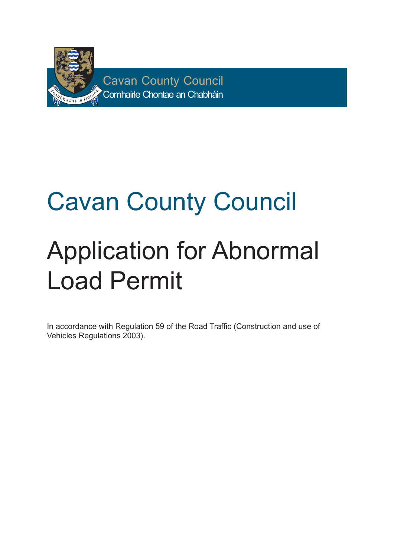

## Cavan County Council Application for Abnormal Load Permit

In accordance with Regulation 59 of the Road Traffic (Construction and use of Vehicles Regulations 2003).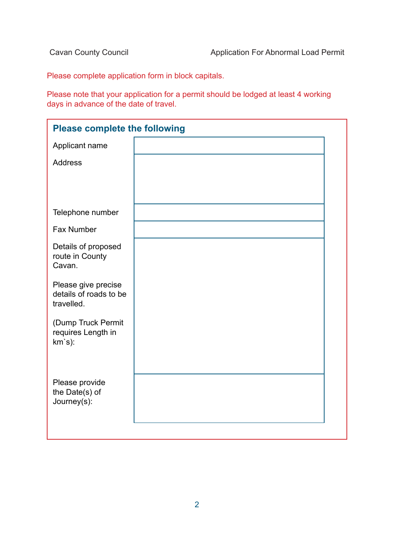Please complete application form in block capitals.

Please note that your application for a permit should be lodged at least 4 working days in advance of the date of travel.

| <b>Please complete the following</b>                        |  |  |  |  |
|-------------------------------------------------------------|--|--|--|--|
| Applicant name                                              |  |  |  |  |
| <b>Address</b>                                              |  |  |  |  |
|                                                             |  |  |  |  |
|                                                             |  |  |  |  |
| Telephone number                                            |  |  |  |  |
| <b>Fax Number</b>                                           |  |  |  |  |
| Details of proposed<br>route in County<br>Cavan.            |  |  |  |  |
| Please give precise<br>details of roads to be<br>travelled. |  |  |  |  |
| (Dump Truck Permit<br>requires Length in<br>$km's$ ):       |  |  |  |  |
| Please provide<br>the Date(s) of<br>Journey(s):             |  |  |  |  |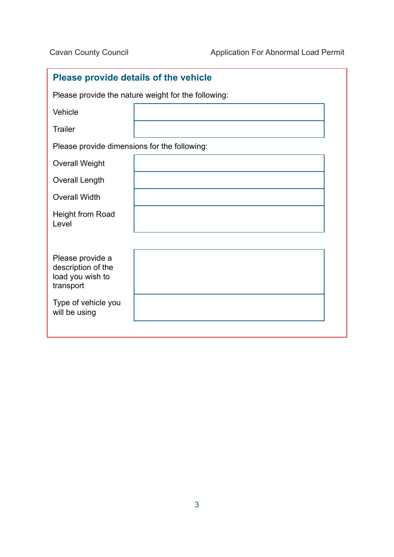| <b>Please provide details of the vehicle</b>                            |  |  |  |  |
|-------------------------------------------------------------------------|--|--|--|--|
| Please provide the nature weight for the following:                     |  |  |  |  |
| Vehicle                                                                 |  |  |  |  |
| <b>Trailer</b>                                                          |  |  |  |  |
| Please provide dimensions for the following:                            |  |  |  |  |
| <b>Overall Weight</b>                                                   |  |  |  |  |
| <b>Overall Length</b>                                                   |  |  |  |  |
| <b>Overall Width</b>                                                    |  |  |  |  |
| Height from Road<br>Level                                               |  |  |  |  |
|                                                                         |  |  |  |  |
| Please provide a<br>description of the<br>load you wish to<br>transport |  |  |  |  |
| Type of vehicle you<br>will be using                                    |  |  |  |  |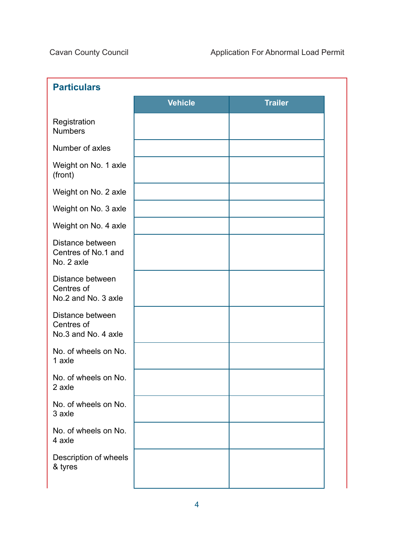| <b>Particulars</b>                                    |                |                |  |  |
|-------------------------------------------------------|----------------|----------------|--|--|
|                                                       | <b>Vehicle</b> | <b>Trailer</b> |  |  |
| Registration<br><b>Numbers</b>                        |                |                |  |  |
| Number of axles                                       |                |                |  |  |
| Weight on No. 1 axle<br>(front)                       |                |                |  |  |
| Weight on No. 2 axle                                  |                |                |  |  |
| Weight on No. 3 axle                                  |                |                |  |  |
| Weight on No. 4 axle                                  |                |                |  |  |
| Distance between<br>Centres of No.1 and<br>No. 2 axle |                |                |  |  |
| Distance between<br>Centres of<br>No.2 and No. 3 axle |                |                |  |  |
| Distance between<br>Centres of<br>No.3 and No. 4 axle |                |                |  |  |
| No. of wheels on No.<br>1 axle                        |                |                |  |  |
| No. of wheels on No.<br>2 axle                        |                |                |  |  |
| No. of wheels on No.<br>3 axle                        |                |                |  |  |
| No. of wheels on No.<br>4 axle                        |                |                |  |  |
| Description of wheels<br>& tyres                      |                |                |  |  |
|                                                       |                |                |  |  |